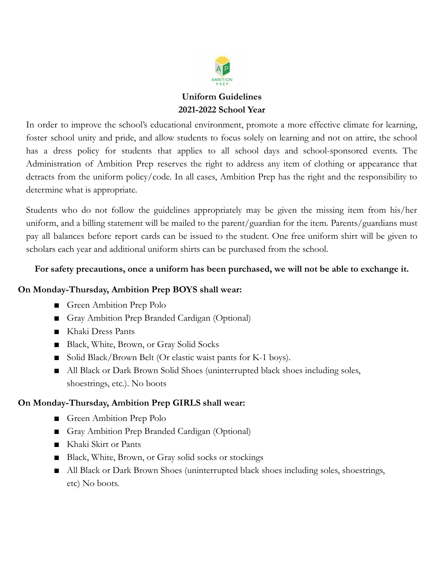

# **Uniform Guidelines 2021-2022 School Year**

In order to improve the school's educational environment, promote a more effective climate for learning, foster school unity and pride, and allow students to focus solely on learning and not on attire, the school has a dress policy for students that applies to all school days and school-sponsored events. The Administration of Ambition Prep reserves the right to address any item of clothing or appearance that detracts from the uniform policy/code. In all cases, Ambition Prep has the right and the responsibility to determine what is appropriate.

Students who do not follow the guidelines appropriately may be given the missing item from his/her uniform, and a billing statement will be mailed to the parent/guardian for the item. Parents/guardians must pay all balances before report cards can be issued to the student. One free uniform shirt will be given to scholars each year and additional uniform shirts can be purchased from the school.

### **For safety precautions, once a uniform has been purchased, we will not be able to exchange it.**

### **On Monday-Thursday, Ambition Prep BOYS shall wear:**

- Green Ambition Prep Polo
- Gray Ambition Prep Branded Cardigan (Optional)
- Khaki Dress Pants
- Black, White, Brown, or Gray Solid Socks
- Solid Black/Brown Belt (Or elastic waist pants for K-1 boys).
- All Black or Dark Brown Solid Shoes (uninterrupted black shoes including soles, shoestrings, etc.). No boots

## **On Monday-Thursday, Ambition Prep GIRLS shall wear:**

- Green Ambition Prep Polo
- Gray Ambition Prep Branded Cardigan (Optional)
- Khaki Skirt or Pants
- Black, White, Brown, or Gray solid socks or stockings
- All Black or Dark Brown Shoes (uninterrupted black shoes including soles, shoestrings, etc) No boots.